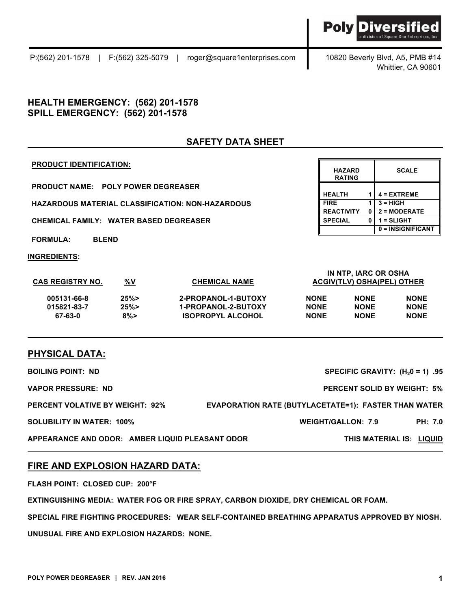### P:(562) 201-1578 | F:(562) 325-5079 | roger@square1enterprises.com 10820 Beverly Blvd, A5, PMB #14

Whittier, CA 90601

Divers

**Poly** 

# **HEALTH EMERGENCY: (562) 201-1578 SPILL EMERGENCY: (562) 201-1578**

# **SAFETY DATA SHEET**

#### **PRODUCT IDENTIFICATION:**

**PRODUCT NAME: POLY POWER DEGREASER**

**HAZARDOUS MATERIAL CLASSIFICATION: NON-HAZARDOUS** 

**CHEMICAL FAMILY: WATER BASED DEGREASER** 

**FORMULA: BLEND**

**INGREDIENTS:**

| <b>HAZARD</b><br><b>RATING</b> |   | <b>SCALE</b>      |
|--------------------------------|---|-------------------|
| <b>HEALTH</b>                  | 1 | $4 = EXTREME$     |
| <b>FIRE</b>                    |   | $3 = HIGH$        |
| <b>REACTIVITY</b>              | 0 | $2 = MODERATE$    |
| <b>SPECIAL</b>                 | 0 | 1 = SLIGHT        |
|                                |   | 0 = INSIGNIFICANT |

| <b>CAS REGISTRY NO.</b> | <u>%V</u> | <b>CHEMICAL NAME</b>     | IN NTP. IARC OR OSHA<br><b>ACGIV(TLV) OSHA(PEL) OTHER</b> |             |             |
|-------------------------|-----------|--------------------------|-----------------------------------------------------------|-------------|-------------|
| 005131-66-8             | 25%       | 2-PROPANOL-1-BUTOXY      | <b>NONE</b>                                               | <b>NONE</b> | <b>NONE</b> |
| 015821-83-7             | 25%       | 1-PROPANOL-2-BUTOXY      | <b>NONE</b>                                               | <b>NONE</b> | <b>NONE</b> |
| 67-63-0                 | $8\%$     | <b>ISOPROPYL ALCOHOL</b> | <b>NONE</b>                                               | <b>NONE</b> | <b>NONE</b> |

## **PHYSICAL DATA:**

| <b>BOILING POINT: ND</b>                        | SPECIFIC GRAVITY: $(H20 = 1)$ .95                           |                |
|-------------------------------------------------|-------------------------------------------------------------|----------------|
| <b>VAPOR PRESSURE: ND</b>                       | <b>PERCENT SOLID BY WEIGHT: 5%</b>                          |                |
| <b>PERCENT VOLATIVE BY WEIGHT: 92%</b>          | <b>EVAPORATION RATE (BUTYLACETATE=1): FASTER THAN WATER</b> |                |
| <b>SOLUBILITY IN WATER: 100%</b>                | <b>WEIGHT/GALLON: 7.9</b>                                   | <b>PH: 7.0</b> |
| APPEARANCE AND ODOR: AMBER LIQUID PLEASANT ODOR | THIS MATERIAL IS: LIQUID                                    |                |

## **FIRE AND EXPLOSION HAZARD DATA:**

**FLASH POINT: CLOSED CUP: 200°F** 

**EXTINGUISHING MEDIA: WATER FOG OR FIRE SPRAY, CARBON DIOXIDE, DRY CHEMICAL OR FOAM.**

**SPECIAL FIRE FIGHTING PROCEDURES: WEAR SELF-CONTAINED BREATHING APPARATUS APPROVED BY NIOSH.**

**UNUSUAL FIRE AND EXPLOSION HAZARDS: NONE.**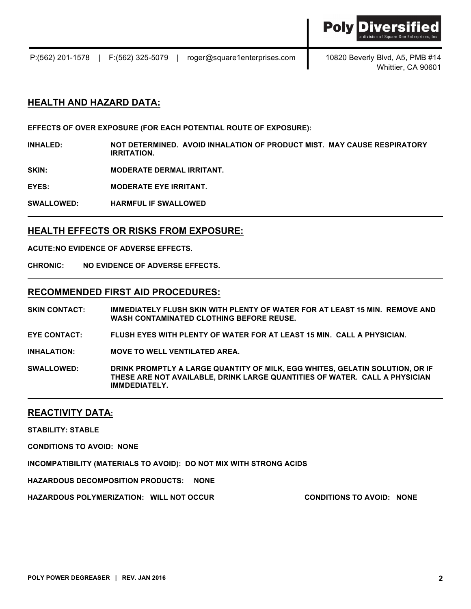

Whittier, CA 90601

## **HEALTH AND HAZARD DATA:**

**EFFECTS OF OVER EXPOSURE (FOR EACH POTENTIAL ROUTE OF EXPOSURE):**

**INHALED: NOT DETERMINED. AVOID INHALATION OF PRODUCT MIST. MAY CAUSE RESPIRATORY IRRITATION.**

**SKIN: MODERATE DERMAL IRRITANT.**

**EYES: MODERATE EYE IRRITANT.**

**SWALLOWED: HARMFUL IF SWALLOWED**

### **HEALTH EFFECTS OR RISKS FROM EXPOSURE:**

**ACUTE:NO EVIDENCE OF ADVERSE EFFECTS.**

**CHRONIC: NO EVIDENCE OF ADVERSE EFFECTS.**

### **RECOMMENDED FIRST AID PROCEDURES:**

**SKIN CONTACT: IMMEDIATELY FLUSH SKIN WITH PLENTY OF WATER FOR AT LEAST 15 MIN. REMOVE AND WASH CONTAMINATED CLOTHING BEFORE REUSE.**

**EYE CONTACT: FLUSH EYES WITH PLENTY OF WATER FOR AT LEAST 15 MIN. CALL A PHYSICIAN.**

**INHALATION: MOVE TO WELL VENTILATED AREA.**

**SWALLOWED: DRINK PROMPTLY A LARGE QUANTITY OF MILK, EGG WHITES, GELATIN SOLUTION, OR IF THESE ARE NOT AVAILABLE, DRINK LARGE QUANTITIES OF WATER. CALL A PHYSICIAN IMMDEDIATELY.**

#### **REACTIVITY DATA:**

**STABILITY: STABLE**

**CONDITIONS TO AVOID: NONE** 

**INCOMPATIBILITY (MATERIALS TO AVOID): DO NOT MIX WITH STRONG ACIDS** 

**HAZARDOUS DECOMPOSITION PRODUCTS: NONE** 

**HAZARDOUS POLYMERIZATION: WILL NOT OCCUR CONDITIONS TO AVOID: NONE**